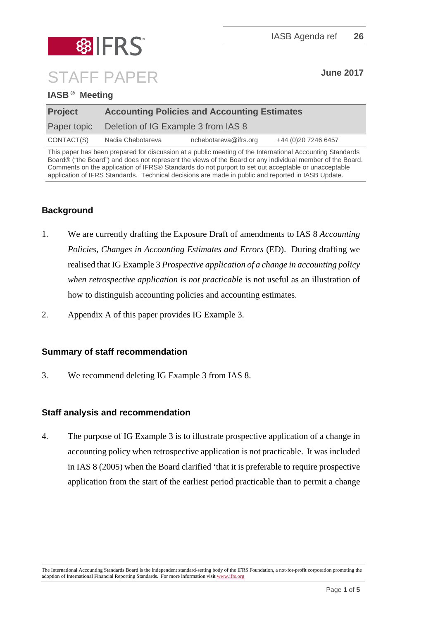# **SIFRS** STAFF PAPER **June 2017**

#### **IASB ® Meeting**

| <b>Project</b> | <b>Accounting Policies and Accounting Estimates</b> |                       |                      |  |
|----------------|-----------------------------------------------------|-----------------------|----------------------|--|
| Paper topic    | Deletion of IG Example 3 from IAS 8                 |                       |                      |  |
| CONTACT(S)     | Nadia Chebotareva                                   | nchebotareva@ifrs.org | +44 (0) 20 7246 6457 |  |

This paper has been prepared for discussion at a public meeting of the International Accounting Standards Board® ("the Board") and does not represent the views of the Board or any individual member of the Board. Comments on the application of IFRS® Standards do not purport to set out acceptable or unacceptable application of IFRS Standards. Technical decisions are made in public and reported in IASB Update.

### **Background**

- 1. We are currently drafting the Exposure Draft of amendments to IAS 8 *Accounting Policies, Changes in Accounting Estimates and Errors* (ED). During drafting we realised that IG Example 3 *Prospective application of a change in accounting policy when retrospective application is not practicable* is not useful as an illustration of how to distinguish accounting policies and accounting estimates.
- 2. Appendix A of this paper provides IG Example 3.

#### **Summary of staff recommendation**

3. We recommend deleting IG Example 3 from IAS 8.

#### **Staff analysis and recommendation**

4. The purpose of IG Example 3 is to illustrate prospective application of a change in accounting policy when retrospective application is not practicable. It was included in IAS 8 (2005) when the Board clarified 'that it is preferable to require prospective application from the start of the earliest period practicable than to permit a change

The International Accounting Standards Board is the independent standard-setting body of the IFRS Foundation, a not-for-profit corporation promoting the adoption of International Financial Reporting Standards. For more information visit www.ifrs.org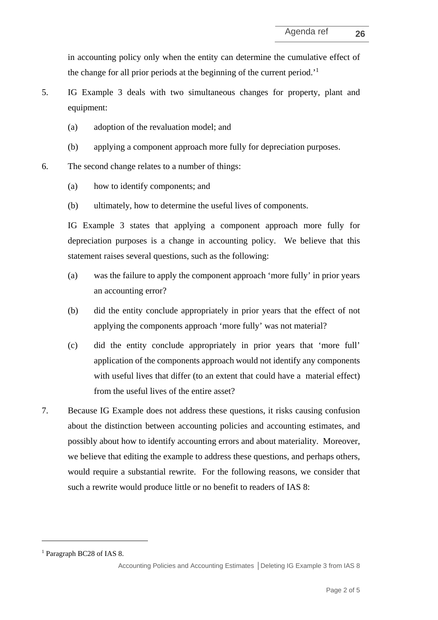in accounting policy only when the entity can determine the cumulative effect of the change for all prior periods at the beginning of the current period.'1

5. IG Example 3 deals with two simultaneous changes for property, plant and equipment:

- (a) adoption of the revaluation model; and
- (b) applying a component approach more fully for depreciation purposes.
- 6. The second change relates to a number of things:
	- (a) how to identify components; and
	- (b) ultimately, how to determine the useful lives of components.

IG Example 3 states that applying a component approach more fully for depreciation purposes is a change in accounting policy. We believe that this statement raises several questions, such as the following:

- (a) was the failure to apply the component approach 'more fully' in prior years an accounting error?
- (b) did the entity conclude appropriately in prior years that the effect of not applying the components approach 'more fully' was not material?
- (c) did the entity conclude appropriately in prior years that 'more full' application of the components approach would not identify any components with useful lives that differ (to an extent that could have a material effect) from the useful lives of the entire asset?
- 7. Because IG Example does not address these questions, it risks causing confusion about the distinction between accounting policies and accounting estimates, and possibly about how to identify accounting errors and about materiality. Moreover, we believe that editing the example to address these questions, and perhaps others, would require a substantial rewrite. For the following reasons, we consider that such a rewrite would produce little or no benefit to readers of IAS 8:

 $\overline{a}$ 

<sup>1</sup> Paragraph BC28 of IAS 8.

Accounting Policies and Accounting Estimates **│**Deleting IG Example 3 from IAS 8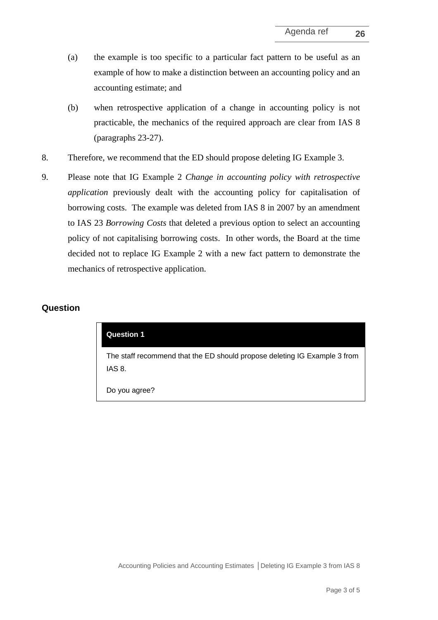- (a) the example is too specific to a particular fact pattern to be useful as an example of how to make a distinction between an accounting policy and an accounting estimate; and
- (b) when retrospective application of a change in accounting policy is not practicable, the mechanics of the required approach are clear from IAS 8 (paragraphs 23-27).
- 8. Therefore, we recommend that the ED should propose deleting IG Example 3.
- 9. Please note that IG Example 2 *Change in accounting policy with retrospective application* previously dealt with the accounting policy for capitalisation of borrowing costs. The example was deleted from IAS 8 in 2007 by an amendment to IAS 23 *Borrowing Costs* that deleted a previous option to select an accounting policy of not capitalising borrowing costs. In other words, the Board at the time decided not to replace IG Example 2 with a new fact pattern to demonstrate the mechanics of retrospective application.

#### **Question**

| <b>Question 1</b>                                                                   |
|-------------------------------------------------------------------------------------|
| The staff recommend that the ED should propose deleting IG Example 3 from<br>IAS 8. |
| Do you agree?                                                                       |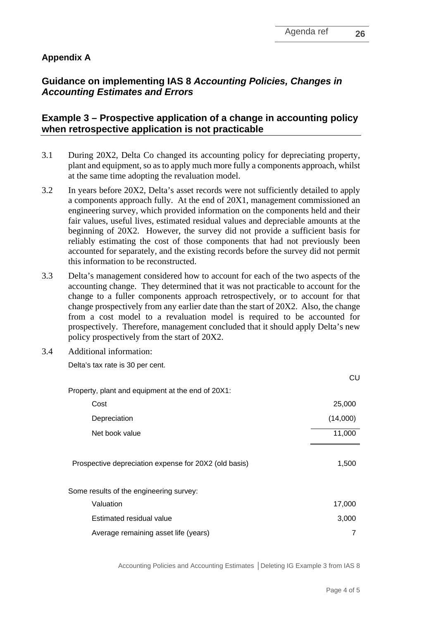## **Guidance on implementing IAS 8** *Accounting Policies, Changes in Accounting Estimates and Errors*

#### **Example 3 – Prospective application of a change in accounting policy when retrospective application is not practicable**

- 3.1 During 20X2, Delta Co changed its accounting policy for depreciating property, plant and equipment, so as to apply much more fully a components approach, whilst at the same time adopting the revaluation model.
- 3.2 In years before 20X2, Delta's asset records were not sufficiently detailed to apply a components approach fully. At the end of 20X1, management commissioned an engineering survey, which provided information on the components held and their fair values, useful lives, estimated residual values and depreciable amounts at the beginning of 20X2. However, the survey did not provide a sufficient basis for reliably estimating the cost of those components that had not previously been accounted for separately, and the existing records before the survey did not permit this information to be reconstructed.
- 3.3 Delta's management considered how to account for each of the two aspects of the accounting change. They determined that it was not practicable to account for the change to a fuller components approach retrospectively, or to account for that change prospectively from any earlier date than the start of 20X2. Also, the change from a cost model to a revaluation model is required to be accounted for prospectively. Therefore, management concluded that it should apply Delta's new policy prospectively from the start of 20X2.
- 3.4 Additional information:

Delta's tax rate is 30 per cent.

|                                                       | CU       |
|-------------------------------------------------------|----------|
| Property, plant and equipment at the end of 20X1:     |          |
| Cost                                                  | 25,000   |
| Depreciation                                          | (14,000) |
| Net book value                                        | 11,000   |
| Prospective depreciation expense for 20X2 (old basis) | 1,500    |
| Some results of the engineering survey:               |          |
| Valuation                                             | 17,000   |
| Estimated residual value                              | 3,000    |
| Average remaining asset life (years)                  |          |

Accounting Policies and Accounting Estimates **│**Deleting IG Example 3 from IAS 8